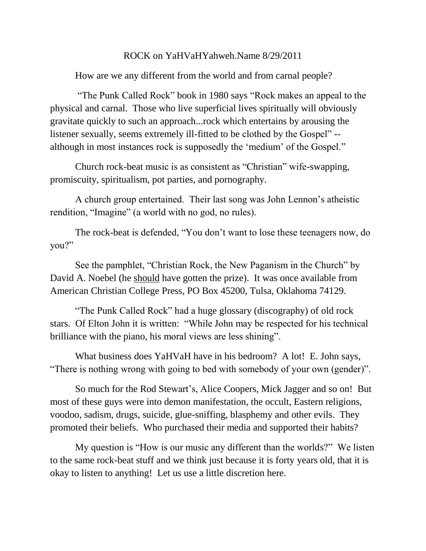## ROCK on YaHVaHYahweh.Name 8/29/2011

How are we any different from the world and from carnal people?

"The Punk Called Rock" book in 1980 says "Rock makes an appeal to the physical and carnal. Those who live superficial lives spiritually will obviously gravitate quickly to such an approach...rock which entertains by arousing the listener sexually, seems extremely ill-fitted to be clothed by the Gospel" - although in most instances rock is supposedly the "medium" of the Gospel."

Church rock-beat music is as consistent as "Christian" wife-swapping, promiscuity, spiritualism, pot parties, and pornography.

A church group entertained. Their last song was John Lennon"s atheistic rendition, "Imagine" (a world with no god, no rules).

The rock-beat is defended, "You don"t want to lose these teenagers now, do you?"

See the pamphlet, "Christian Rock, the New Paganism in the Church" by David A. Noebel (he should have gotten the prize). It was once available from American Christian College Press, PO Box 45200, Tulsa, Oklahoma 74129.

"The Punk Called Rock" had a huge glossary (discography) of old rock stars. Of Elton John it is written: "While John may be respected for his technical brilliance with the piano, his moral views are less shining".

What business does YaHVaH have in his bedroom? A lot! E. John says, "There is nothing wrong with going to bed with somebody of your own (gender)".

So much for the Rod Stewart"s, Alice Coopers, Mick Jagger and so on! But most of these guys were into demon manifestation, the occult, Eastern religions, voodoo, sadism, drugs, suicide, glue-sniffing, blasphemy and other evils. They promoted their beliefs. Who purchased their media and supported their habits?

My question is "How is our music any different than the worlds?" We listen to the same rock-beat stuff and we think just because it is forty years old, that it is okay to listen to anything! Let us use a little discretion here.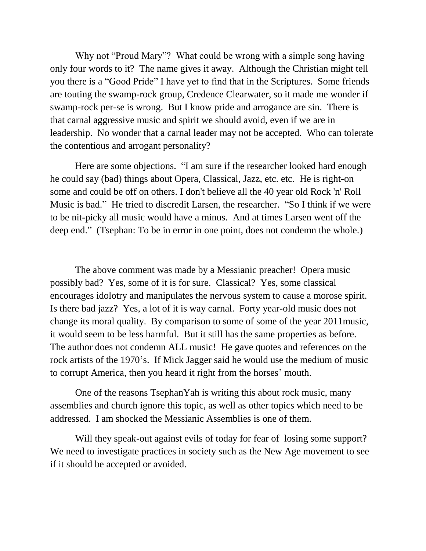Why not "Proud Mary"? What could be wrong with a simple song having only four words to it? The name gives it away. Although the Christian might tell you there is a "Good Pride" I have yet to find that in the Scriptures. Some friends are touting the swamp-rock group, Credence Clearwater, so it made me wonder if swamp-rock per-se is wrong. But I know pride and arrogance are sin. There is that carnal aggressive music and spirit we should avoid, even if we are in leadership. No wonder that a carnal leader may not be accepted. Who can tolerate the contentious and arrogant personality?

Here are some objections. "I am sure if the researcher looked hard enough he could say (bad) things about Opera, Classical, Jazz, etc. etc. He is right-on some and could be off on others. I don't believe all the 40 year old Rock 'n' Roll Music is bad." He tried to discredit Larsen, the researcher. "So I think if we were to be nit-picky all music would have a minus. And at times Larsen went off the deep end." (Tsephan: To be in error in one point, does not condemn the whole.)

The above comment was made by a Messianic preacher! Opera music possibly bad? Yes, some of it is for sure. Classical? Yes, some classical encourages idolotry and manipulates the nervous system to cause a morose spirit. Is there bad jazz? Yes, a lot of it is way carnal. Forty year-old music does not change its moral quality. By comparison to some of some of the year 2011music, it would seem to be less harmful. But it still has the same properties as before. The author does not condemn ALL music! He gave quotes and references on the rock artists of the 1970"s. If Mick Jagger said he would use the medium of music to corrupt America, then you heard it right from the horses" mouth.

One of the reasons TsephanYah is writing this about rock music, many assemblies and church ignore this topic, as well as other topics which need to be addressed. I am shocked the Messianic Assemblies is one of them.

Will they speak-out against evils of today for fear of losing some support? We need to investigate practices in society such as the New Age movement to see if it should be accepted or avoided.